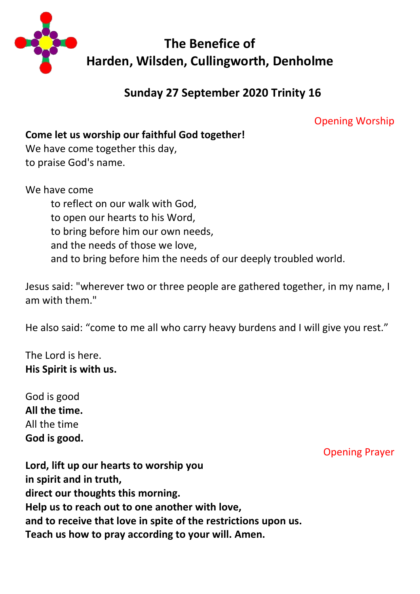

# **Sunday 27 September 2020 Trinity 16**

Opening Worship

**Come let us worship our faithful God together!**

We have come together this day, to praise God's name.

We have come to reflect on our walk with God, to open our hearts to his Word, to bring before him our own needs, and the needs of those we love, and to bring before him the needs of our deeply troubled world.

Jesus said: "wherever two or three people are gathered together, in my name, I am with them."

He also said: "come to me all who carry heavy burdens and I will give you rest."

The Lord is here. **His Spirit is with us.**

God is good **All the time.** All the time **God is good.**

Opening Prayer

**Lord, lift up our hearts to worship you in spirit and in truth, direct our thoughts this morning. Help us to reach out to one another with love, and to receive that love in spite of the restrictions upon us. Teach us how to pray according to your will. Amen.**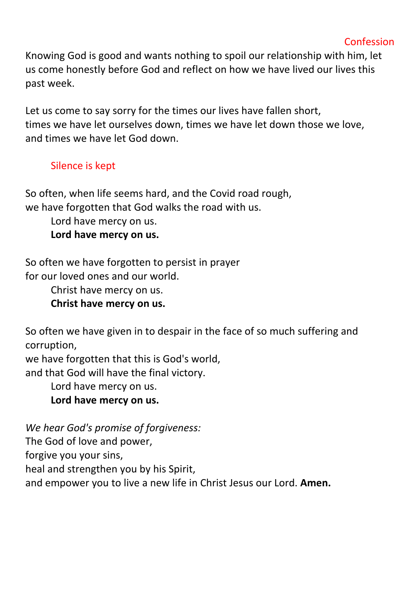Knowing God is good and wants nothing to spoil our relationship with him, let us come honestly before God and reflect on how we have lived our lives this past week.

Let us come to say sorry for the times our lives have fallen short, times we have let ourselves down, times we have let down those we love, and times we have let God down.

## Silence is kept

So often, when life seems hard, and the Covid road rough, we have forgotten that God walks the road with us.

Lord have mercy on us.

**Lord have mercy on us.**

So often we have forgotten to persist in prayer for our loved ones and our world.

Christ have mercy on us.

**Christ have mercy on us.**

So often we have given in to despair in the face of so much suffering and corruption,

we have forgotten that this is God's world,

and that God will have the final victory.

Lord have mercy on us.

**Lord have mercy on us.**

*We hear God's promise of forgiveness:*

The God of love and power,

forgive you your sins,

heal and strengthen you by his Spirit,

and empower you to live a new life in Christ Jesus our Lord. **Amen.**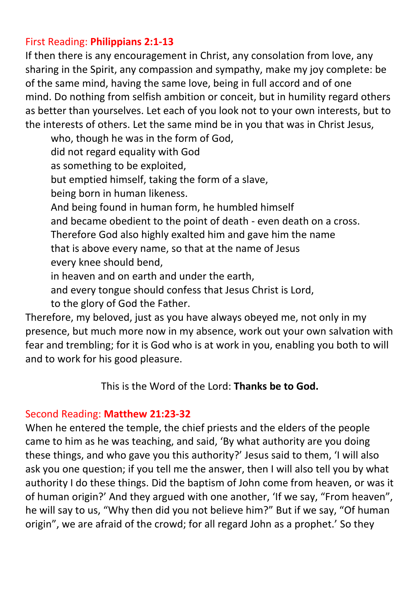### First Reading: **Philippians 2:1-13**

If then there is any encouragement in Christ, any consolation from love, any sharing in the Spirit, any compassion and sympathy, make my joy complete: be of the same mind, having the same love, being in full accord and of one mind. Do nothing from selfish ambition or conceit, but in humility regard others as better than yourselves. Let each of you look not to your own interests, but to the interests of others. Let the same mind be in you that was in Christ Jesus,

who, though he was in the form of God, did not regard equality with God as something to be exploited, but emptied himself, taking the form of a slave, being born in human likeness. And being found in human form, he humbled himself and became obedient to the point of death - even death on a cross. Therefore God also highly exalted him and gave him the name that is above every name, so that at the name of Jesus every knee should bend, in heaven and on earth and under the earth,

and every tongue should confess that Jesus Christ is Lord,

to the glory of God the Father.

Therefore, my beloved, just as you have always obeyed me, not only in my presence, but much more now in my absence, work out your own salvation with fear and trembling; for it is God who is at work in you, enabling you both to will and to work for his good pleasure.

### This is the Word of the Lord: **Thanks be to God.**

### Second Reading: **Matthew 21:23-32**

When he entered the temple, the chief priests and the elders of the people came to him as he was teaching, and said, 'By what authority are you doing these things, and who gave you this authority?' Jesus said to them, 'I will also ask you one question; if you tell me the answer, then I will also tell you by what authority I do these things. Did the baptism of John come from heaven, or was it of human origin?' And they argued with one another, 'If we say, "From heaven", he will say to us, "Why then did you not believe him?" But if we say, "Of human origin", we are afraid of the crowd; for all regard John as a prophet.' So they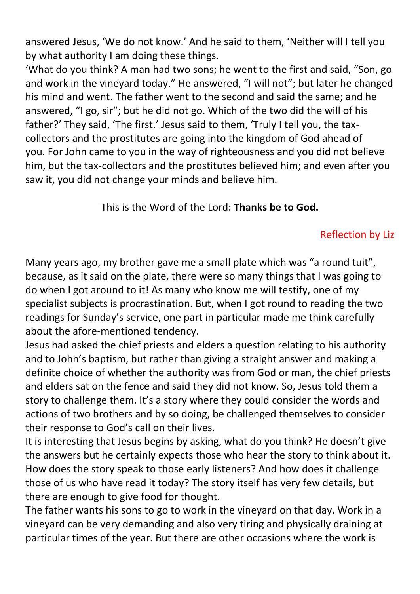answered Jesus, 'We do not know.' And he said to them, 'Neither will I tell you by what authority I am doing these things.

'What do you think? A man had two sons; he went to the first and said, "Son, go and work in the vineyard today." He answered, "I will not"; but later he changed his mind and went. The father went to the second and said the same; and he answered, "I go, sir"; but he did not go. Which of the two did the will of his father?' They said, 'The first.' Jesus said to them, 'Truly I tell you, the taxcollectors and the prostitutes are going into the kingdom of God ahead of you. For John came to you in the way of righteousness and you did not believe him, but the tax-collectors and the prostitutes believed him; and even after you saw it, you did not change your minds and believe him.

This is the Word of the Lord: **Thanks be to God.**

# Reflection by Liz

Many years ago, my brother gave me a small plate which was "a round tuit", because, as it said on the plate, there were so many things that I was going to do when I got around to it! As many who know me will testify, one of my specialist subjects is procrastination. But, when I got round to reading the two readings for Sunday's service, one part in particular made me think carefully about the afore-mentioned tendency.

Jesus had asked the chief priests and elders a question relating to his authority and to John's baptism, but rather than giving a straight answer and making a definite choice of whether the authority was from God or man, the chief priests and elders sat on the fence and said they did not know. So, Jesus told them a story to challenge them. It's a story where they could consider the words and actions of two brothers and by so doing, be challenged themselves to consider their response to God's call on their lives.

It is interesting that Jesus begins by asking, what do you think? He doesn't give the answers but he certainly expects those who hear the story to think about it. How does the story speak to those early listeners? And how does it challenge those of us who have read it today? The story itself has very few details, but there are enough to give food for thought.

The father wants his sons to go to work in the vineyard on that day. Work in a vineyard can be very demanding and also very tiring and physically draining at particular times of the year. But there are other occasions where the work is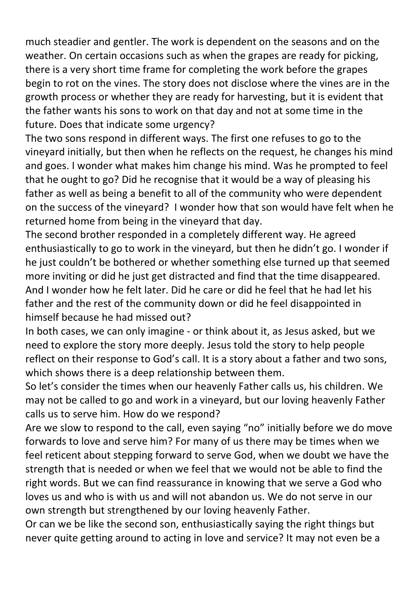much steadier and gentler. The work is dependent on the seasons and on the weather. On certain occasions such as when the grapes are ready for picking, there is a very short time frame for completing the work before the grapes begin to rot on the vines. The story does not disclose where the vines are in the growth process or whether they are ready for harvesting, but it is evident that the father wants his sons to work on that day and not at some time in the future. Does that indicate some urgency?

The two sons respond in different ways. The first one refuses to go to the vineyard initially, but then when he reflects on the request, he changes his mind and goes. I wonder what makes him change his mind. Was he prompted to feel that he ought to go? Did he recognise that it would be a way of pleasing his father as well as being a benefit to all of the community who were dependent on the success of the vineyard? I wonder how that son would have felt when he returned home from being in the vineyard that day.

The second brother responded in a completely different way. He agreed enthusiastically to go to work in the vineyard, but then he didn't go. I wonder if he just couldn't be bothered or whether something else turned up that seemed more inviting or did he just get distracted and find that the time disappeared. And I wonder how he felt later. Did he care or did he feel that he had let his father and the rest of the community down or did he feel disappointed in himself because he had missed out?

In both cases, we can only imagine - or think about it, as Jesus asked, but we need to explore the story more deeply. Jesus told the story to help people reflect on their response to God's call. It is a story about a father and two sons, which shows there is a deep relationship between them.

So let's consider the times when our heavenly Father calls us, his children. We may not be called to go and work in a vineyard, but our loving heavenly Father calls us to serve him. How do we respond?

Are we slow to respond to the call, even saying "no" initially before we do move forwards to love and serve him? For many of us there may be times when we feel reticent about stepping forward to serve God, when we doubt we have the strength that is needed or when we feel that we would not be able to find the right words. But we can find reassurance in knowing that we serve a God who loves us and who is with us and will not abandon us. We do not serve in our own strength but strengthened by our loving heavenly Father.

Or can we be like the second son, enthusiastically saying the right things but never quite getting around to acting in love and service? It may not even be a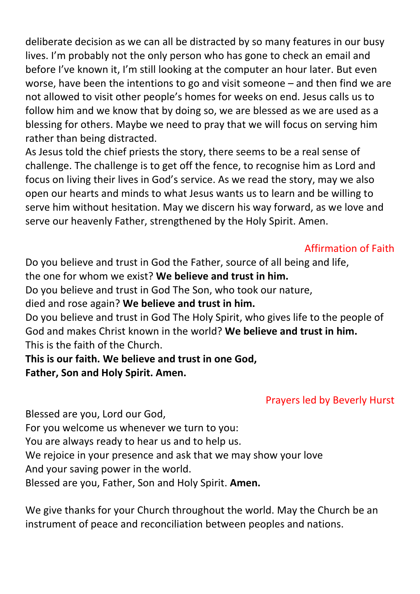deliberate decision as we can all be distracted by so many features in our busy lives. I'm probably not the only person who has gone to check an email and before I've known it, I'm still looking at the computer an hour later. But even worse, have been the intentions to go and visit someone – and then find we are not allowed to visit other people's homes for weeks on end. Jesus calls us to follow him and we know that by doing so, we are blessed as we are used as a blessing for others. Maybe we need to pray that we will focus on serving him rather than being distracted.

As Jesus told the chief priests the story, there seems to be a real sense of challenge. The challenge is to get off the fence, to recognise him as Lord and focus on living their lives in God's service. As we read the story, may we also open our hearts and minds to what Jesus wants us to learn and be willing to serve him without hesitation. May we discern his way forward, as we love and serve our heavenly Father, strengthened by the Holy Spirit. Amen.

### Affirmation of Faith

Do you believe and trust in God the Father, source of all being and life,

the one for whom we exist? **We believe and trust in him.**

Do you believe and trust in God The Son, who took our nature,

died and rose again? **We believe and trust in him.**

Do you believe and trust in God The Holy Spirit, who gives life to the people of God and makes Christ known in the world? **We believe and trust in him.** This is the faith of the Church.

### **This is our faith. We believe and trust in one God, Father, Son and Holy Spirit. Amen.**

## Prayers led by Beverly Hurst

Blessed are you, Lord our God, For you welcome us whenever we turn to you: You are always ready to hear us and to help us. We rejoice in your presence and ask that we may show your love And your saving power in the world. Blessed are you, Father, Son and Holy Spirit. **Amen.**

We give thanks for your Church throughout the world. May the Church be an instrument of peace and reconciliation between peoples and nations.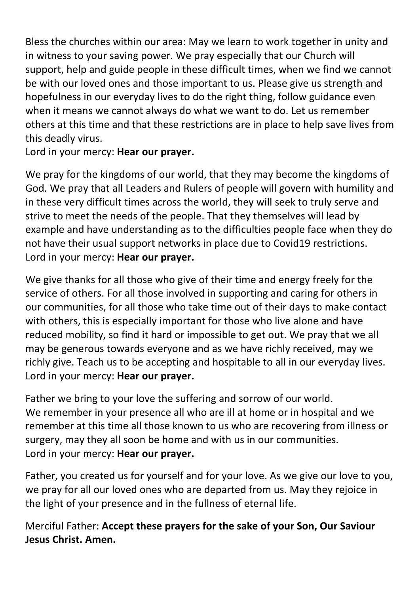Bless the churches within our area: May we learn to work together in unity and in witness to your saving power. We pray especially that our Church will support, help and guide people in these difficult times, when we find we cannot be with our loved ones and those important to us. Please give us strength and hopefulness in our everyday lives to do the right thing, follow guidance even when it means we cannot always do what we want to do. Let us remember others at this time and that these restrictions are in place to help save lives from this deadly virus.

Lord in your mercy: **Hear our prayer.**

We pray for the kingdoms of our world, that they may become the kingdoms of God. We pray that all Leaders and Rulers of people will govern with humility and in these very difficult times across the world, they will seek to truly serve and strive to meet the needs of the people. That they themselves will lead by example and have understanding as to the difficulties people face when they do not have their usual support networks in place due to Covid19 restrictions. Lord in your mercy: **Hear our prayer.**

We give thanks for all those who give of their time and energy freely for the service of others. For all those involved in supporting and caring for others in our communities, for all those who take time out of their days to make contact with others, this is especially important for those who live alone and have reduced mobility, so find it hard or impossible to get out. We pray that we all may be generous towards everyone and as we have richly received, may we richly give. Teach us to be accepting and hospitable to all in our everyday lives. Lord in your mercy: **Hear our prayer.**

Father we bring to your love the suffering and sorrow of our world. We remember in your presence all who are ill at home or in hospital and we remember at this time all those known to us who are recovering from illness or surgery, may they all soon be home and with us in our communities. Lord in your mercy: **Hear our prayer.**

Father, you created us for yourself and for your love. As we give our love to you, we pray for all our loved ones who are departed from us. May they rejoice in the light of your presence and in the fullness of eternal life.

Merciful Father: **Accept these prayers for the sake of your Son, Our Saviour Jesus Christ. Amen.**